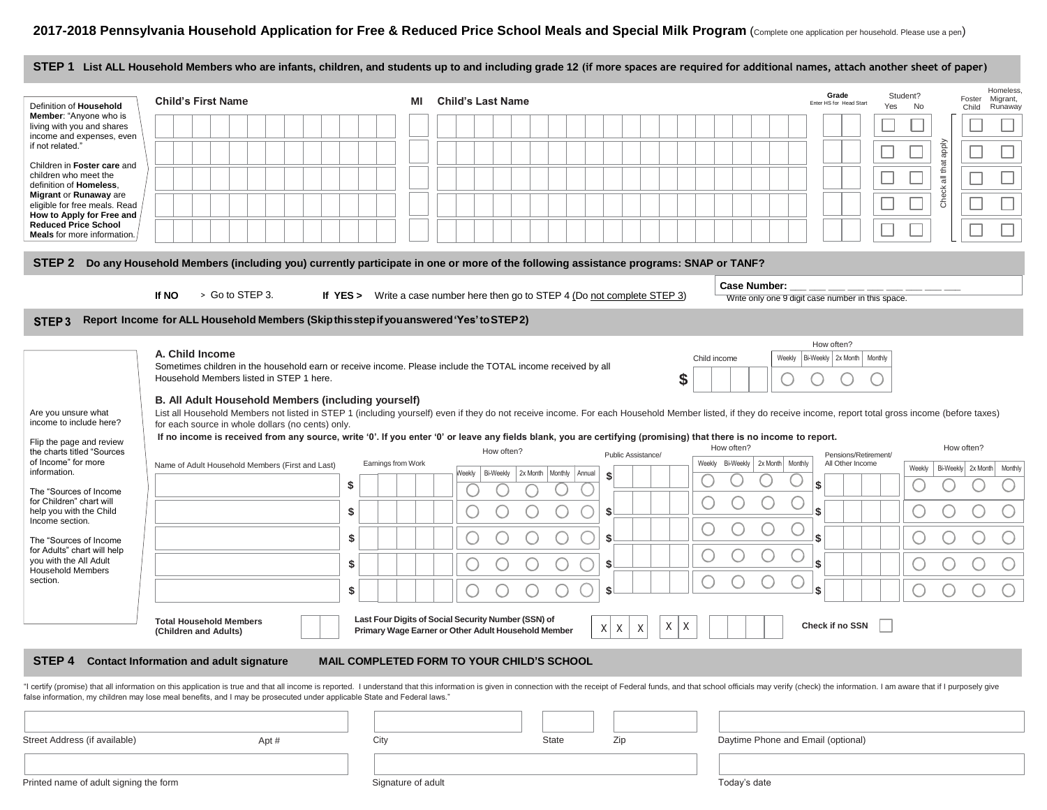|                                                                                                                                                                                                                                                                                                              | <b>Child's First Name</b>                                                                                                                                                                                                                                                                                                                                                                                                                                                                                                                                                                                                                                   |                                                                              | MI | <b>Child's Last Name</b> |                            |                    |              |            |                                |        | Enter HS for Head Start                                                                         | Yes | No     | Foster               | Migrant,<br>Runaway<br>Child |
|--------------------------------------------------------------------------------------------------------------------------------------------------------------------------------------------------------------------------------------------------------------------------------------------------------------|-------------------------------------------------------------------------------------------------------------------------------------------------------------------------------------------------------------------------------------------------------------------------------------------------------------------------------------------------------------------------------------------------------------------------------------------------------------------------------------------------------------------------------------------------------------------------------------------------------------------------------------------------------------|------------------------------------------------------------------------------|----|--------------------------|----------------------------|--------------------|--------------|------------|--------------------------------|--------|-------------------------------------------------------------------------------------------------|-----|--------|----------------------|------------------------------|
| Member: "Anyone who is<br>living with you and shares                                                                                                                                                                                                                                                         |                                                                                                                                                                                                                                                                                                                                                                                                                                                                                                                                                                                                                                                             |                                                                              |    |                          |                            |                    |              |            |                                |        |                                                                                                 |     |        |                      |                              |
| income and expenses, even<br>if not related."                                                                                                                                                                                                                                                                |                                                                                                                                                                                                                                                                                                                                                                                                                                                                                                                                                                                                                                                             |                                                                              |    |                          |                            |                    |              |            |                                |        |                                                                                                 |     |        |                      |                              |
| Children in Foster care and<br>children who meet the                                                                                                                                                                                                                                                         |                                                                                                                                                                                                                                                                                                                                                                                                                                                                                                                                                                                                                                                             |                                                                              |    |                          |                            |                    |              |            |                                |        |                                                                                                 |     |        | Check all that apply |                              |
| definition of Homeless.<br>Migrant or Runaway are                                                                                                                                                                                                                                                            |                                                                                                                                                                                                                                                                                                                                                                                                                                                                                                                                                                                                                                                             |                                                                              |    |                          |                            |                    |              |            |                                |        |                                                                                                 |     |        |                      |                              |
| eligible for free meals. Read<br>How to Apply for Free and                                                                                                                                                                                                                                                   |                                                                                                                                                                                                                                                                                                                                                                                                                                                                                                                                                                                                                                                             |                                                                              |    |                          |                            |                    |              |            |                                |        |                                                                                                 |     |        |                      |                              |
| <b>Reduced Price School</b><br>Meals for more information.                                                                                                                                                                                                                                                   |                                                                                                                                                                                                                                                                                                                                                                                                                                                                                                                                                                                                                                                             |                                                                              |    |                          |                            |                    |              |            |                                |        |                                                                                                 |     |        |                      |                              |
|                                                                                                                                                                                                                                                                                                              |                                                                                                                                                                                                                                                                                                                                                                                                                                                                                                                                                                                                                                                             |                                                                              |    |                          |                            |                    |              |            |                                |        |                                                                                                 |     |        |                      |                              |
|                                                                                                                                                                                                                                                                                                              | STEP 2 Do any Household Members (including you) currently participate in one or more of the following assistance programs: SNAP or TANF?                                                                                                                                                                                                                                                                                                                                                                                                                                                                                                                    |                                                                              |    |                          |                            |                    |              |            |                                |        |                                                                                                 |     |        |                      |                              |
|                                                                                                                                                                                                                                                                                                              | > Go to STEP 3.<br>If NO                                                                                                                                                                                                                                                                                                                                                                                                                                                                                                                                                                                                                                    | If YES > Write a case number here then go to STEP 4 (Do not complete STEP 3) |    |                          |                            |                    |              |            |                                |        | Case Number: ___ __ ___ ___ ___ ___ ___ __<br>Write only one 9 digit case number in this space. |     |        |                      |                              |
| STEP <sub>3</sub>                                                                                                                                                                                                                                                                                            | Report Income for ALL Household Members (Skipthis step if you answered 'Yes' to STEP2)                                                                                                                                                                                                                                                                                                                                                                                                                                                                                                                                                                      |                                                                              |    |                          |                            |                    |              |            |                                |        |                                                                                                 |     |        |                      |                              |
|                                                                                                                                                                                                                                                                                                              |                                                                                                                                                                                                                                                                                                                                                                                                                                                                                                                                                                                                                                                             |                                                                              |    |                          |                            |                    |              |            |                                |        | How often?                                                                                      |     |        |                      |                              |
|                                                                                                                                                                                                                                                                                                              | A. Child Income                                                                                                                                                                                                                                                                                                                                                                                                                                                                                                                                                                                                                                             |                                                                              |    |                          |                            |                    | Child income |            |                                | Weekly | Bi-Weekly   2x Month   Monthly                                                                  |     |        |                      |                              |
|                                                                                                                                                                                                                                                                                                              |                                                                                                                                                                                                                                                                                                                                                                                                                                                                                                                                                                                                                                                             |                                                                              |    |                          |                            |                    |              |            |                                |        |                                                                                                 |     |        |                      |                              |
|                                                                                                                                                                                                                                                                                                              | Sometimes children in the household earn or receive income. Please include the TOTAL income received by all<br>Household Members listed in STEP 1 here.<br>B. All Adult Household Members (including yourself)<br>List all Household Members not listed in STEP 1 (including yourself) even if they do not receive income. For each Household Member listed, if they do receive income, report total gross income (before taxes)<br>for each source in whole dollars (no cents) only.<br>If no income is received from any source, write '0'. If you enter '0' or leave any fields blank, you are certifying (promising) that there is no income to report. |                                                                              |    |                          |                            |                    | \$           |            |                                |        |                                                                                                 |     |        |                      |                              |
|                                                                                                                                                                                                                                                                                                              |                                                                                                                                                                                                                                                                                                                                                                                                                                                                                                                                                                                                                                                             | Earnings from Work                                                           |    | How often?               |                            | Public Assistance/ | Weekly       | How often? | Bi-Weekly   2x Month   Monthly |        | Pensions/Retirement/<br>All Other Income                                                        |     |        |                      | How often?                   |
|                                                                                                                                                                                                                                                                                                              | Name of Adult Household Members (First and Last)                                                                                                                                                                                                                                                                                                                                                                                                                                                                                                                                                                                                            |                                                                              |    | Bi-Weekly<br>Neekly      | 2x Month<br>Monthly Annual |                    |              |            |                                |        |                                                                                                 |     | Weekly |                      |                              |
|                                                                                                                                                                                                                                                                                                              |                                                                                                                                                                                                                                                                                                                                                                                                                                                                                                                                                                                                                                                             | \$                                                                           |    |                          |                            |                    |              |            |                                |        |                                                                                                 |     |        |                      |                              |
|                                                                                                                                                                                                                                                                                                              |                                                                                                                                                                                                                                                                                                                                                                                                                                                                                                                                                                                                                                                             | \$                                                                           |    |                          |                            |                    |              |            |                                |        |                                                                                                 |     |        |                      |                              |
| Are you unsure what<br>income to include here?<br>Flip the page and review<br>the charts titled "Sources<br>of Income" for more<br>information.<br>The "Sources of Income<br>for Children" chart will<br>help you with the Child<br>Income section.<br>The "Sources of Income<br>for Adults" chart will help |                                                                                                                                                                                                                                                                                                                                                                                                                                                                                                                                                                                                                                                             | \$                                                                           |    |                          |                            |                    |              |            |                                |        |                                                                                                 |     |        |                      | Bi-Weekly 2x Month           |
| you with the All Adult<br><b>Household Members</b>                                                                                                                                                                                                                                                           |                                                                                                                                                                                                                                                                                                                                                                                                                                                                                                                                                                                                                                                             | \$                                                                           |    |                          |                            |                    |              |            |                                |        |                                                                                                 |     |        |                      |                              |
|                                                                                                                                                                                                                                                                                                              |                                                                                                                                                                                                                                                                                                                                                                                                                                                                                                                                                                                                                                                             | \$                                                                           |    |                          |                            |                    |              |            |                                |        |                                                                                                 |     |        |                      |                              |
|                                                                                                                                                                                                                                                                                                              | <b>Total Household Members</b>                                                                                                                                                                                                                                                                                                                                                                                                                                                                                                                                                                                                                              | Last Four Digits of Social Security Number (SSN) of                          |    |                          |                            |                    |              |            |                                |        |                                                                                                 |     |        |                      |                              |